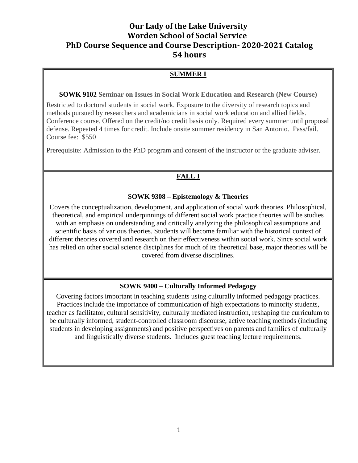# **Our Lady of the Lake University Worden School of Social Service PhD Course Sequence and Course Description- 2020-2021 Catalog 54 hours**

## **SUMMER I**

**SOWK 9102 Seminar on Issues in Social Work Education and Research (New Course)**

Restricted to doctoral students in social work. Exposure to the diversity of research topics and methods pursued by researchers and academicians in social work education and allied fields. Conference course. Offered on the credit/no credit basis only. Required every summer until proposal defense. Repeated 4 times for credit. Include onsite summer residency in San Antonio. Pass/fail. Course fee: \$550

Prerequisite: Admission to the PhD program and consent of the instructor or the graduate adviser.

## **FALL I**

#### **SOWK 9308 – Epistemology & Theories**

Covers the conceptualization, development, and application of social work theories. Philosophical, theoretical, and empirical underpinnings of different social work practice theories will be studies with an emphasis on understanding and critically analyzing the philosophical assumptions and scientific basis of various theories. Students will become familiar with the historical context of different theories covered and research on their effectiveness within social work. Since social work has relied on other social science disciplines for much of its theoretical base, major theories will be covered from diverse disciplines.

## **SOWK 9400 – Culturally Informed Pedagogy**

Covering factors important in teaching students using culturally informed pedagogy practices. Practices include the importance of communication of high expectations to minority students, teacher as facilitator, cultural sensitivity, culturally mediated instruction, reshaping the curriculum to be culturally informed, student-controlled classroom discourse, active teaching methods (including students in developing assignments) and positive perspectives on parents and families of culturally and linguistically diverse students. Includes guest teaching lecture requirements.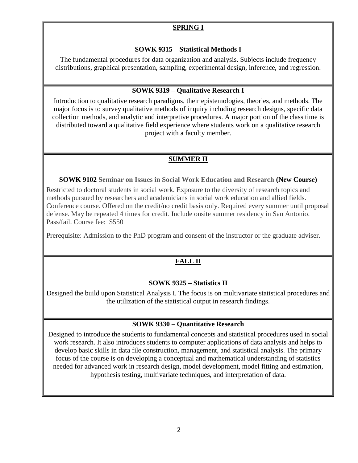## **SPRING I**

## **SOWK 9315 – Statistical Methods I**

The fundamental procedures for data organization and analysis. Subjects include frequency distributions, graphical presentation, sampling, experimental design, inference, and regression.

## **SOWK 9319 – Qualitative Research I**

Introduction to qualitative research paradigms, their epistemologies, theories, and methods. The major focus is to survey qualitative methods of inquiry including research designs, specific data collection methods, and analytic and interpretive procedures. A major portion of the class time is distributed toward a qualitative field experience where students work on a qualitative research project with a faculty member.

## **SUMMER II**

## **SOWK 9102 Seminar on Issues in Social Work Education and Research (New Course)**

Restricted to doctoral students in social work. Exposure to the diversity of research topics and methods pursued by researchers and academicians in social work education and allied fields. Conference course. Offered on the credit/no credit basis only. Required every summer until proposal defense. May be repeated 4 times for credit. Include onsite summer residency in San Antonio. Pass/fail. Course fee: \$550

Prerequisite: Admission to the PhD program and consent of the instructor or the graduate adviser.

# **FALL II**

## **SOWK 9325 – Statistics II**

Designed the build upon Statistical Analysis I. The focus is on multivariate statistical procedures and the utilization of the statistical output in research findings.

## **SOWK 9330 – Quantitative Research**

Designed to introduce the students to fundamental concepts and statistical procedures used in social work research. It also introduces students to computer applications of data analysis and helps to develop basic skills in data file construction, management, and statistical analysis. The primary focus of the course is on developing a conceptual and mathematical understanding of statistics needed for advanced work in research design, model development, model fitting and estimation, hypothesis testing, multivariate techniques, and interpretation of data.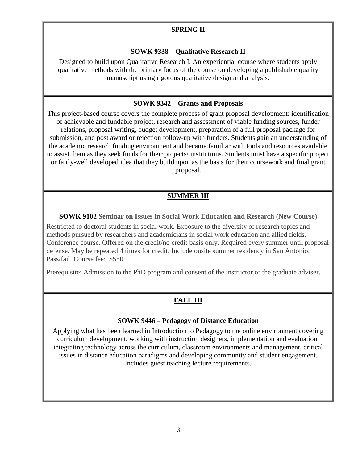## **SPRING II**

#### **SOWK 9338 – Qualitative Research II**

Designed to build upon Qualitative Research I. An experiential course where students apply qualitative methods with the primary focus of the course on developing a publishable quality manuscript using rigorous qualitative design and analysis.

#### **SOWK 9342 – Grants and Proposals**

This project-based course covers the complete process of grant proposal development: identification of achievable and fundable project, research and assessment of viable funding sources, funder relations, proposal writing, budget development, preparation of a full proposal package for submission, and post award or rejection follow-up with funders. Students gain an understanding of the academic research funding environment and became familiar with tools and resources available to assist them as they seek funds for their projects/ institutions. Students must have a specific project or fairly-well developed idea that they build upon as the basis for their coursework and final grant proposal.

## **SUMMER III**

**SOWK 9102 Seminar on Issues in Social Work Education and Research (New Course)**

Restricted to doctoral students in social work. Exposure to the diversity of research topics and methods pursued by researchers and academicians in social work education and allied fields. Conference course. Offered on the credit/no credit basis only. Required every summer until proposal defense. May be repeated 4 times for credit. Include onsite summer residency in San Antonio. Pass/fail. Course fee: \$550

Prerequisite: Admission to the PhD program and consent of the instructor or the graduate adviser.

## **FALL III**

#### S**OWK 9446 – Pedagogy of Distance Education**

Applying what has been learned in Introduction to Pedagogy to the online environment covering curriculum development, working with instruction designers, implementation and evaluation, integrating technology across the curriculum, classroom environments and management, critical issues in distance education paradigms and developing community and student engagement. Includes guest teaching lecture requirements.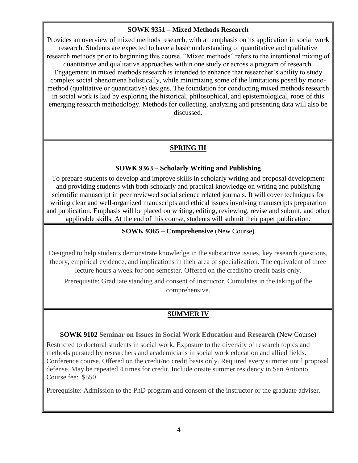## **SOWK 9351 – Mixed Methods Research**

Provides an overview of mixed methods research, with an emphasis on its application in social work research. Students are expected to have a basic understanding of quantitative and qualitative research methods prior to beginning this course. "Mixed methods" refers to the intentional mixing of quantitative and qualitative approaches within one study or across a program of research. Engagement in mixed methods research is intended to enhance that researcher's ability to study complex social phenomena holistically, while minimizing some of the limitations posed by monomethod (qualitative or quantitative) designs. The foundation for conducting mixed methods research in social work is laid by exploring the historical, philosophical, and epistemological, roots of this emerging research methodology. Methods for collecting, analyzing and presenting data will also be discussed.

## **SPRING III**

## **SOWK 9363 – Scholarly Writing and Publishing**

To prepare students to develop and improve skills in scholarly writing and proposal development and providing students with both scholarly and practical knowledge on writing and publishing scientific manuscript in peer reviewed social science related journals. It will cover techniques for writing clear and well-organized manuscripts and ethical issues involving manuscripts preparation and publication. Emphasis will be placed on writing, editing, reviewing, revise and submit, and other applicable skills. At the end of this course, students will submit their paper publication.

#### **SOWK 9365 – Comprehensive** (New Course)

Designed to help students demonstrate knowledge in the substantive issues, key research questions, theory, empirical evidence, and implications in their area of specialization. The equivalent of three lecture hours a week for one semester. Offered on the credit/no credit basis only.

Prerequisite: Graduate standing and consent of instructor. Cumulates in the taking of the comprehensive.

## **SUMMER IV**

**SOWK 9102 Seminar on Issues in Social Work Education and Research** (New Course)

Restricted to doctoral students in social work. Exposure to the diversity of research topics and methods pursued by researchers and academicians in social work education and allied fields. Conference course. Offered on the credit/no credit basis only. Required every summer until proposal defense. May be repeated 4 times for credit. Include onsite summer residency in San Antonio. Course fee: \$550

Prerequisite: Admission to the PhD program and consent of the instructor or the graduate adviser.